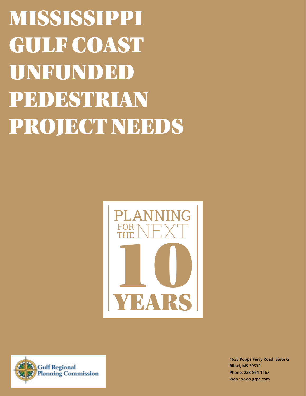MISSISSIPPI GULF COAST UNFUNDED PEDESTRIAN PROJECT NEEDS





**1635 Popps Ferry Road, Suite G Biloxi, MS 39532 Phone: 228-864-1167 Web : www.grpc.com**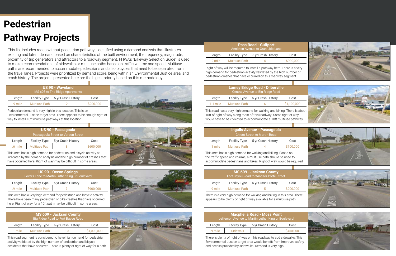# **Pedestrian Pathway Projects**

This list includes roads without pedestrian pathways identified using a demand analysis that illustrates existing and latent demand based on characteristics of the built environment, the frequency, magnitude, proximity of trip generators and attractors to a roadway segment. FHWA's "Bikeway Selection Guide" is used to make recommendations of sidewalks or multiuse paths based on traffic volume and speed. Multiuse paths are recommended to accommodate pedestrians and also bicycles that need to be separated from the travel lanes. Projects were prioritized by demand score, being within an Environmental Justice area, and crash history. The projects presented here are the higest priority based on this methodology.

This area has a high demand for pedestrian and bicycle activity as indicated by the demand analysis and the high number of crashes that have occurred here. Right of way may be difficult in some areas.

This area has a very high demand for pedestrian and bicycle activity. There have been many pedestrian or bike crashes that have occurred here. Right of way for a 10ft path may be difficult in some areas.

> There is plenty of right of way on this roadway to add sidewalks. This Environmental Justice target area would benefit from improved safety and access provided by sidewalks. Demand is very high.



















This road has a very high demand for walking and biking. There is about 10ft of right of way along most of this roadway. Some right of way would have to be collected to accommodate a 10ft multiuse pathway.

|         |                      | <u> US 90 - Pascagoula</u><br>Pascagoula Street to Verdon Street |           |
|---------|----------------------|------------------------------------------------------------------|-----------|
| Length  | <b>Facility Type</b> | 5-yr Crash History                                               | Cost      |
| .6 mile | <b>Multiuse Path</b> |                                                                  | \$600,000 |

| <b>US 90 - Ocean Springs</b><br>Lovers Lane to Martin Luther King Jr Boulevard |                      |                    |           |
|--------------------------------------------------------------------------------|----------------------|--------------------|-----------|
| Length                                                                         | <b>Facility Type</b> | 5-yr Crash History | Cost      |
| .9 mile                                                                        | <b>Multiuse Path</b> |                    | \$900,000 |

This area has a high demand for walking and biking. Based on the traffic speed and volume, a multiuse path should be used to accommodate pedestrians and bikes. Right of way would be required.

|         |                      | <b>Macphelia Road - Moss Point</b><br>Jefferson Avenue to Martin Luther King Jr Boulevard |           |
|---------|----------------------|-------------------------------------------------------------------------------------------|-----------|
| Length  | <b>Facility Type</b> | 5-yr Crash History                                                                        | Cost      |
| .9 mile | <b>Sidewalk</b>      | R                                                                                         | \$450,000 |

There is a very high demand for walking and biking in this area. There appears to be plenty of right of way available for a multiuse path.

|            |                      | <b>Lamey Bridge Road - D'Iberville</b><br>Central Avenue to Big Ridge Road |             |
|------------|----------------------|----------------------------------------------------------------------------|-------------|
| Length     | <b>Facility Type</b> | 5-yr Crash History                                                         | Cost        |
| $1.1$ mile | <b>Multiuse Path</b> |                                                                            | \$1,100,000 |

This road segment is considered to have high demand for pedestrian activity validated by the high number of pedestrian and bicycle accidents that have occurred. There is plenty of right of way for a path.



|           |                      | <b>Ingalls Avenue - Pascagoula</b><br><b>Chicot Street to Martin Road</b> |           |
|-----------|----------------------|---------------------------------------------------------------------------|-----------|
| Length    | <b>Facility Type</b> | 5-yr Crash History                                                        | Cost      |
| $.1$ mile | <b>Multiuse Path</b> |                                                                           | \$100,000 |

|         |                      | <b>MS 609 - Jackson County</b><br>Fort Bayou Road to Windsor Porte Street |           |
|---------|----------------------|---------------------------------------------------------------------------|-----------|
| Length  | <b>Facility Type</b> | 5-yr Crash History                                                        | Cost      |
| .9 mile | <b>Multiuse Path</b> | h                                                                         | \$900,000 |

|        |                      | <b>MS 609 - Jackson County</b><br>Big Ridge Road to Fort Bayou Road |             |
|--------|----------------------|---------------------------------------------------------------------|-------------|
| Length | <b>Facility Type</b> | 5-yr Crash History                                                  | Cost        |
| 1 mile | <b>Multiuse Path</b> | $\cdots$                                                            | \$1,000,000 |
|        |                      |                                                                     |             |

Right of way will be required to install a pathway here. There is a very high demand for pedestrian activity validated by the high number of pedestrian crashes that have occurred on this roadway segment.

| <b>Pass Road - Gulfport</b><br>Anniston Avenue to Gran Lido Lane |                      |                    |           |
|------------------------------------------------------------------|----------------------|--------------------|-----------|
| Length                                                           | <b>Facility Type</b> | 5-yr Crash History | Cost      |
| .9 mile                                                          | <b>Multiuse Path</b> |                    | \$900,000 |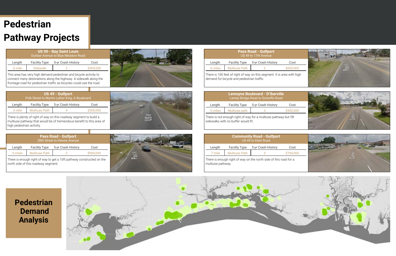There is enough right of way on the north side of this road for a multiuse pathway.

|         |                      | <b>Community Road - Gulfport</b><br>US 49 to Klein Road |           |
|---------|----------------------|---------------------------------------------------------|-----------|
| Length  | <b>Facility Type</b> | 5-yr Crash History                                      | Cost      |
| .7 mile | <b>Multiuse Path</b> |                                                         | \$700,000 |

There is not enough right of way for a multiuse pathway but 5ft sidewalks with no buffer would fit.

|          |                      | <b>Lemoyne Boulevard - D'Iberville</b><br>Lamey Bridge Road to Gorenflo Road |           |
|----------|----------------------|------------------------------------------------------------------------------|-----------|
| Length   | <b>Facility Type</b> | 5-yr Crash History                                                           | Cost      |
| .5 miles | Multiuse path        |                                                                              | \$500,000 |
|          |                      |                                                                              |           |

# **Pedestrian Pathway Projects**

### **Pass Road - Gulfport** 28th Street to Hewes Avenue There is enough right of way to get a 10ft pathway constructed on the .9 miles Multiuse Path 3 \$900,000 Length Facility Type 5-yr Crash History Cost

This area has very high demand pedestrian and bicycle activity to connect many destinations along the highway. A sidewalk along the frontage road for pedestrian traffic as bicycles could use the road.

| <b>US 90 - Bay Saint Louis</b><br>Dunbar Avenue to Blue Meadow Road |                      |                    |           |  |  |
|---------------------------------------------------------------------|----------------------|--------------------|-----------|--|--|
| Length                                                              | <b>Facility Type</b> | 5-yr Crash History | Cost      |  |  |
| 6 mile                                                              | Sidewalk             |                    | \$300,000 |  |  |

There is plenty of right of way on this roadway segment to build a multiuse pathway that would be of tremendous benefit to this area of high pedestrian activity.



| <b>US 49 - Gulfport</b><br>Polk Street to Martin Luther King Jr Boulevard |                      |                    |           |  |  |
|---------------------------------------------------------------------------|----------------------|--------------------|-----------|--|--|
| Length                                                                    | <b>Facility Type</b> | 5-yr Crash History | Cost      |  |  |
| .3 mile                                                                   | <b>Multiuse Path</b> |                    | \$300,000 |  |  |

north side of this roadway segment.



There is 100 feet of right of way on this segment. It is area with high demand for bicycle and pedestrian traffic.

| <b>Pass Road - Gulfport</b><br>US 49 to 17th Avenue |                      |                    |           |  |  |  |
|-----------------------------------------------------|----------------------|--------------------|-----------|--|--|--|
| Length                                              | <b>Facility Type</b> | 5-yr Crash History | Cost      |  |  |  |
| .6 miles                                            | <b>Multiuse Path</b> |                    | \$600,000 |  |  |  |

## **Pedestrian Demand Analysis**